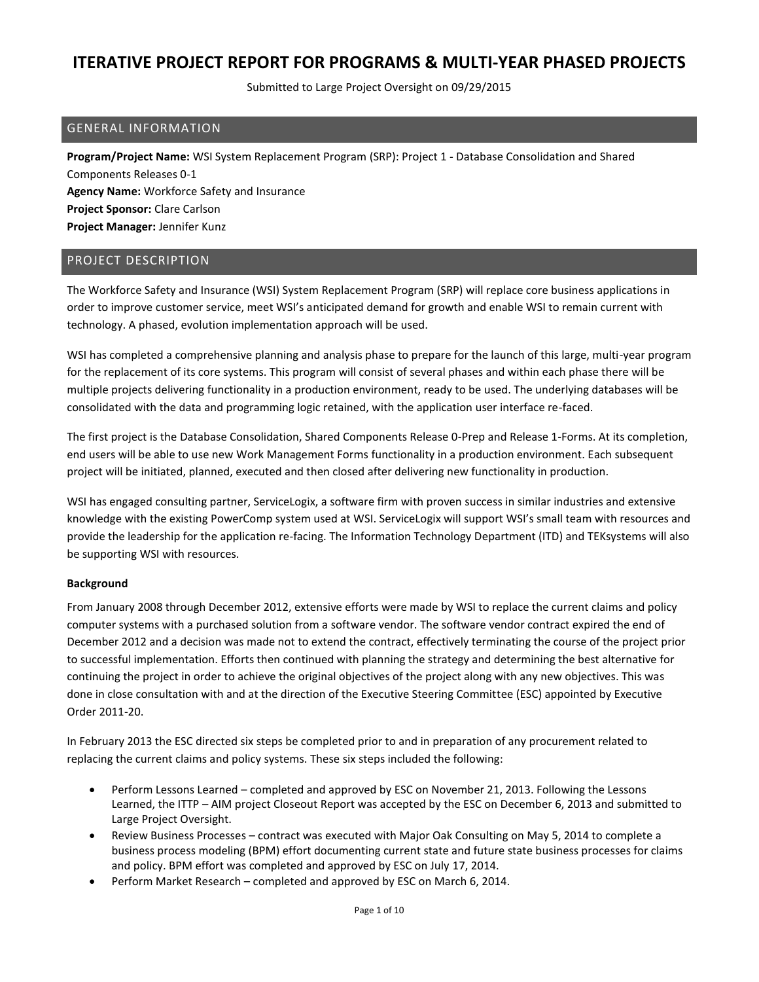Submitted to Large Project Oversight on 09/29/2015

### GENERAL INFORMATION

**Program/Project Name:** WSI System Replacement Program (SRP): Project 1 - Database Consolidation and Shared Components Releases 0-1 **Agency Name:** Workforce Safety and Insurance **Project Sponsor:** Clare Carlson **Project Manager:** Jennifer Kunz

### PROJECT DESCRIPTION

The Workforce Safety and Insurance (WSI) System Replacement Program (SRP) will replace core business applications in order to improve customer service, meet WSI's anticipated demand for growth and enable WSI to remain current with technology. A phased, evolution implementation approach will be used.

WSI has completed a comprehensive planning and analysis phase to prepare for the launch of this large, multi-year program for the replacement of its core systems. This program will consist of several phases and within each phase there will be multiple projects delivering functionality in a production environment, ready to be used. The underlying databases will be consolidated with the data and programming logic retained, with the application user interface re-faced.

The first project is the Database Consolidation, Shared Components Release 0-Prep and Release 1-Forms. At its completion, end users will be able to use new Work Management Forms functionality in a production environment. Each subsequent project will be initiated, planned, executed and then closed after delivering new functionality in production.

WSI has engaged consulting partner, ServiceLogix, a software firm with proven success in similar industries and extensive knowledge with the existing PowerComp system used at WSI. ServiceLogix will support WSI's small team with resources and provide the leadership for the application re-facing. The Information Technology Department (ITD) and TEKsystems will also be supporting WSI with resources.

#### **Background**

From January 2008 through December 2012, extensive efforts were made by WSI to replace the current claims and policy computer systems with a purchased solution from a software vendor. The software vendor contract expired the end of December 2012 and a decision was made not to extend the contract, effectively terminating the course of the project prior to successful implementation. Efforts then continued with planning the strategy and determining the best alternative for continuing the project in order to achieve the original objectives of the project along with any new objectives. This was done in close consultation with and at the direction of the Executive Steering Committee (ESC) appointed by Executive Order 2011-20.

In February 2013 the ESC directed six steps be completed prior to and in preparation of any procurement related to replacing the current claims and policy systems. These six steps included the following:

- Perform Lessons Learned completed and approved by ESC on November 21, 2013. Following the Lessons Learned, the ITTP – AIM project Closeout Report was accepted by the ESC on December 6, 2013 and submitted to Large Project Oversight.
- Review Business Processes contract was executed with Major Oak Consulting on May 5, 2014 to complete a business process modeling (BPM) effort documenting current state and future state business processes for claims and policy. BPM effort was completed and approved by ESC on July 17, 2014.
- Perform Market Research completed and approved by ESC on March 6, 2014.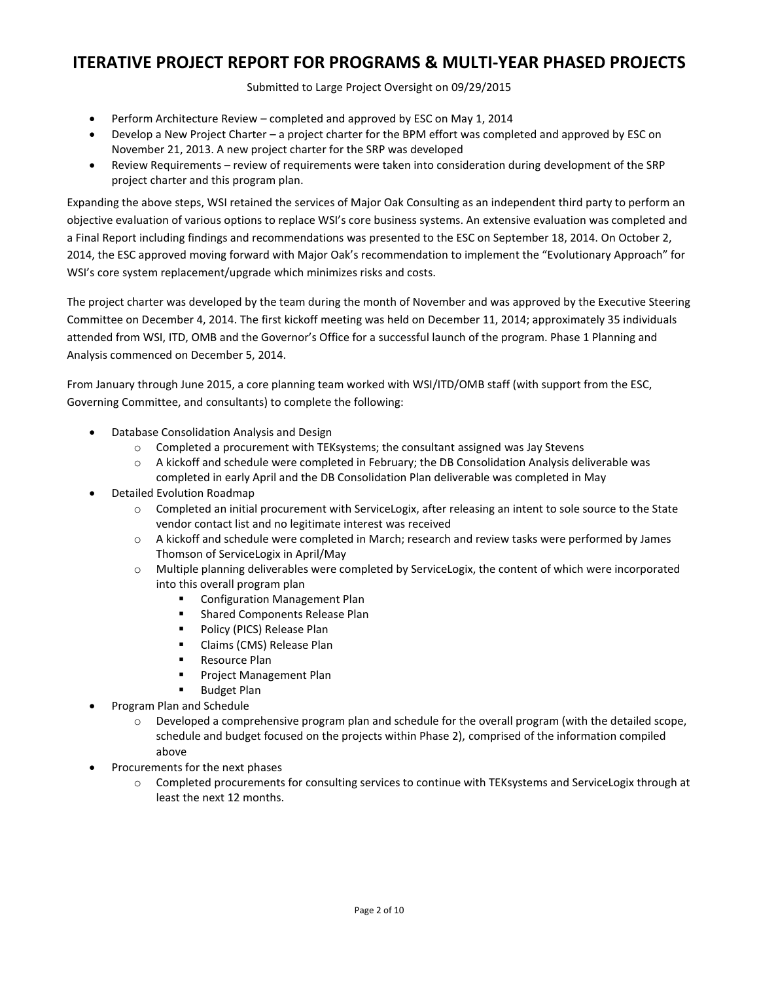Submitted to Large Project Oversight on 09/29/2015

- Perform Architecture Review completed and approved by ESC on May 1, 2014
- Develop a New Project Charter a project charter for the BPM effort was completed and approved by ESC on November 21, 2013. A new project charter for the SRP was developed
- Review Requirements review of requirements were taken into consideration during development of the SRP project charter and this program plan.

Expanding the above steps, WSI retained the services of Major Oak Consulting as an independent third party to perform an objective evaluation of various options to replace WSI's core business systems. An extensive evaluation was completed and a Final Report including findings and recommendations was presented to the ESC on September 18, 2014. On October 2, 2014, the ESC approved moving forward with Major Oak's recommendation to implement the "Evolutionary Approach" for WSI's core system replacement/upgrade which minimizes risks and costs.

The project charter was developed by the team during the month of November and was approved by the Executive Steering Committee on December 4, 2014. The first kickoff meeting was held on December 11, 2014; approximately 35 individuals attended from WSI, ITD, OMB and the Governor's Office for a successful launch of the program. Phase 1 Planning and Analysis commenced on December 5, 2014.

From January through June 2015, a core planning team worked with WSI/ITD/OMB staff (with support from the ESC, Governing Committee, and consultants) to complete the following:

- Database Consolidation Analysis and Design
	- $\circ$  Completed a procurement with TEKsystems; the consultant assigned was Jay Stevens
	- o A kickoff and schedule were completed in February; the DB Consolidation Analysis deliverable was completed in early April and the DB Consolidation Plan deliverable was completed in May
- Detailed Evolution Roadmap
	- o Completed an initial procurement with ServiceLogix, after releasing an intent to sole source to the State vendor contact list and no legitimate interest was received
	- o A kickoff and schedule were completed in March; research and review tasks were performed by James Thomson of ServiceLogix in April/May
	- $\circ$  Multiple planning deliverables were completed by ServiceLogix, the content of which were incorporated into this overall program plan
		- **EXECONFIGURATION Management Plan**
		- **EXECOMPOON EXECUTE:** Shared Components Release Plan
		- Policy (PICS) Release Plan
		- **E** Claims (CMS) Release Plan
		- **Resource Plan**
		- Project Management Plan
		- **Budget Plan**
- Program Plan and Schedule
	- o Developed a comprehensive program plan and schedule for the overall program (with the detailed scope, schedule and budget focused on the projects within Phase 2), comprised of the information compiled above
- Procurements for the next phases
	- o Completed procurements for consulting services to continue with TEKsystems and ServiceLogix through at least the next 12 months.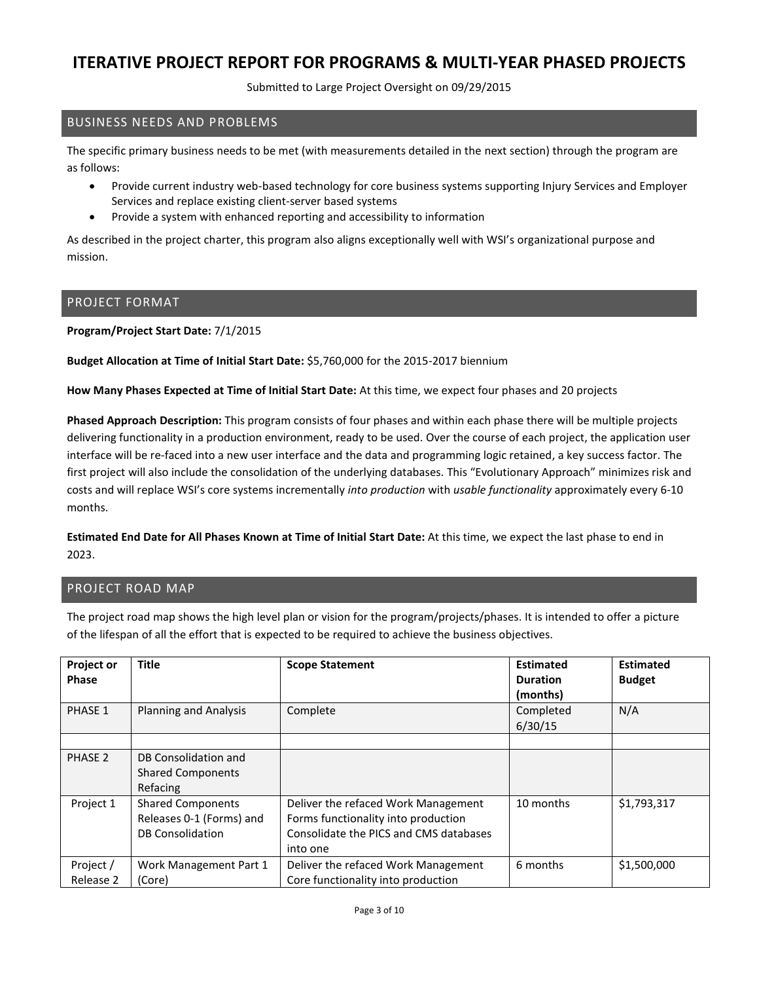Submitted to Large Project Oversight on 09/29/2015

## BUSINESS NEEDS AND PROBLEMS

The specific primary business needs to be met (with measurements detailed in the next section) through the program are as follows:

- Provide current industry web-based technology for core business systems supporting Injury Services and Employer Services and replace existing client-server based systems
- Provide a system with enhanced reporting and accessibility to information

As described in the project charter, this program also aligns exceptionally well with WSI's organizational purpose and mission.

### PROJECT FORMAT

**Program/Project Start Date:** 7/1/2015

**Budget Allocation at Time of Initial Start Date:** \$5,760,000 for the 2015-2017 biennium

**How Many Phases Expected at Time of Initial Start Date:** At this time, we expect four phases and 20 projects

**Phased Approach Description:** This program consists of four phases and within each phase there will be multiple projects delivering functionality in a production environment, ready to be used. Over the course of each project, the application user interface will be re-faced into a new user interface and the data and programming logic retained, a key success factor. The first project will also include the consolidation of the underlying databases. This "Evolutionary Approach" minimizes risk and costs and will replace WSI's core systems incrementally *into production* with *usable functionality* approximately every 6-10 months.

**Estimated End Date for All Phases Known at Time of Initial Start Date:** At this time, we expect the last phase to end in 2023.

## PROJECT ROAD MAP

The project road map shows the high level plan or vision for the program/projects/phases. It is intended to offer a picture of the lifespan of all the effort that is expected to be required to achieve the business objectives.

| <b>Project or</b><br><b>Phase</b> | <b>Title</b>                                                                    | <b>Scope Statement</b>                                                                                                           | <b>Estimated</b><br><b>Duration</b><br>(months) | <b>Estimated</b><br><b>Budget</b> |
|-----------------------------------|---------------------------------------------------------------------------------|----------------------------------------------------------------------------------------------------------------------------------|-------------------------------------------------|-----------------------------------|
| PHASE 1                           | <b>Planning and Analysis</b>                                                    | Complete                                                                                                                         | Completed<br>6/30/15                            | N/A                               |
| PHASE 2                           | DB Consolidation and<br><b>Shared Components</b><br>Refacing                    |                                                                                                                                  |                                                 |                                   |
| Project 1                         | <b>Shared Components</b><br>Releases 0-1 (Forms) and<br><b>DB Consolidation</b> | Deliver the refaced Work Management<br>Forms functionality into production<br>Consolidate the PICS and CMS databases<br>into one | 10 months                                       | \$1,793,317                       |
| Project /<br>Release 2            | Work Management Part 1<br>(Core)                                                | Deliver the refaced Work Management<br>Core functionality into production                                                        | 6 months                                        | \$1,500,000                       |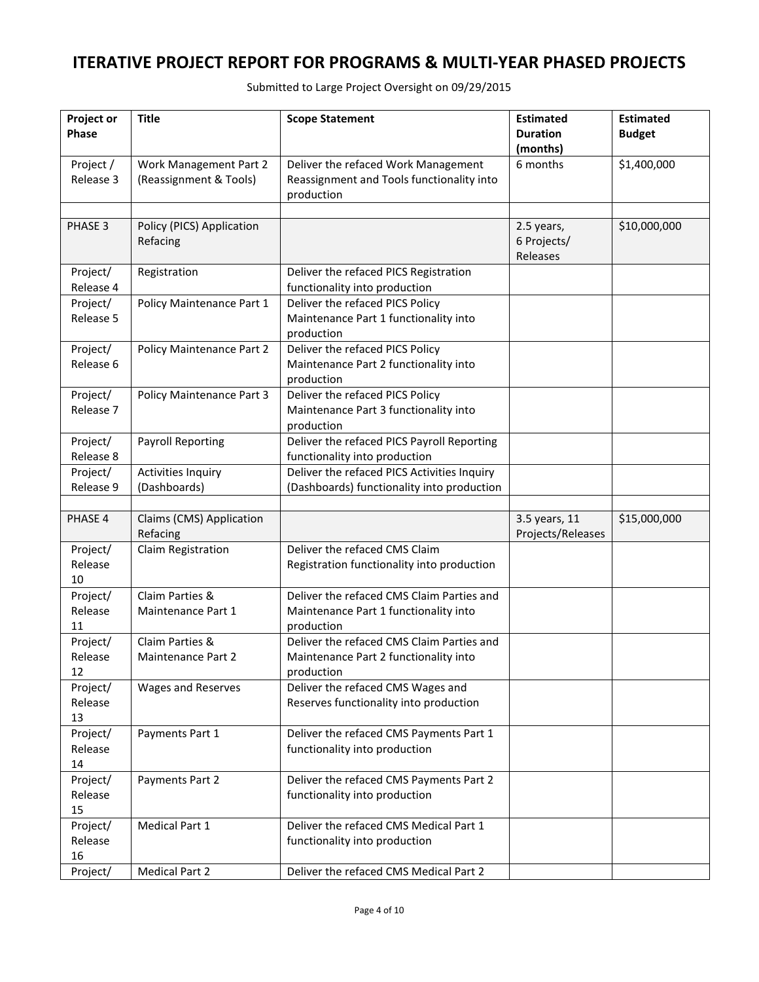Submitted to Large Project Oversight on 09/29/2015

| Project or<br>Phase | <b>Title</b>                                 | <b>Scope Statement</b>                                                             | <b>Estimated</b><br><b>Duration</b> | <b>Estimated</b><br><b>Budget</b> |
|---------------------|----------------------------------------------|------------------------------------------------------------------------------------|-------------------------------------|-----------------------------------|
|                     |                                              |                                                                                    | (months)                            |                                   |
| Project /           | Work Management Part 2                       | Deliver the refaced Work Management                                                | 6 months                            | \$1,400,000                       |
| Release 3           | (Reassignment & Tools)                       | Reassignment and Tools functionality into                                          |                                     |                                   |
|                     |                                              | production                                                                         |                                     |                                   |
|                     |                                              |                                                                                    |                                     |                                   |
| PHASE 3             | Policy (PICS) Application                    |                                                                                    | 2.5 years,<br>6 Projects/           | \$10,000,000                      |
|                     | Refacing                                     |                                                                                    | Releases                            |                                   |
| Project/            | Registration                                 | Deliver the refaced PICS Registration                                              |                                     |                                   |
| Release 4           |                                              | functionality into production                                                      |                                     |                                   |
| Project/            | Policy Maintenance Part 1                    | Deliver the refaced PICS Policy                                                    |                                     |                                   |
| Release 5           |                                              | Maintenance Part 1 functionality into                                              |                                     |                                   |
|                     |                                              | production                                                                         |                                     |                                   |
| Project/            | Policy Maintenance Part 2                    | Deliver the refaced PICS Policy                                                    |                                     |                                   |
| Release 6           |                                              | Maintenance Part 2 functionality into                                              |                                     |                                   |
| Project/            | Policy Maintenance Part 3                    | production<br>Deliver the refaced PICS Policy                                      |                                     |                                   |
| Release 7           |                                              | Maintenance Part 3 functionality into                                              |                                     |                                   |
|                     |                                              | production                                                                         |                                     |                                   |
| Project/            | <b>Payroll Reporting</b>                     | Deliver the refaced PICS Payroll Reporting                                         |                                     |                                   |
| Release 8           |                                              | functionality into production                                                      |                                     |                                   |
| Project/            | <b>Activities Inquiry</b>                    | Deliver the refaced PICS Activities Inquiry                                        |                                     |                                   |
| Release 9           | (Dashboards)                                 | (Dashboards) functionality into production                                         |                                     |                                   |
| PHASE 4             | Claims (CMS) Application                     |                                                                                    | 3.5 years, 11                       | \$15,000,000                      |
|                     | Refacing                                     |                                                                                    | Projects/Releases                   |                                   |
| Project/            | Claim Registration                           | Deliver the refaced CMS Claim                                                      |                                     |                                   |
| Release             |                                              | Registration functionality into production                                         |                                     |                                   |
| 10                  |                                              |                                                                                    |                                     |                                   |
| Project/            | Claim Parties &                              | Deliver the refaced CMS Claim Parties and                                          |                                     |                                   |
| Release             | Maintenance Part 1                           | Maintenance Part 1 functionality into                                              |                                     |                                   |
| 11                  |                                              | production                                                                         |                                     |                                   |
| Project/<br>Release | Claim Parties &<br><b>Maintenance Part 2</b> | Deliver the refaced CMS Claim Parties and<br>Maintenance Part 2 functionality into |                                     |                                   |
| 12                  |                                              | production                                                                         |                                     |                                   |
| Project/            | Wages and Reserves                           | Deliver the refaced CMS Wages and                                                  |                                     |                                   |
| Release             |                                              | Reserves functionality into production                                             |                                     |                                   |
| 13                  |                                              |                                                                                    |                                     |                                   |
| Project/            | Payments Part 1                              | Deliver the refaced CMS Payments Part 1                                            |                                     |                                   |
| Release             |                                              | functionality into production                                                      |                                     |                                   |
| 14                  |                                              |                                                                                    |                                     |                                   |
| Project/<br>Release | Payments Part 2                              | Deliver the refaced CMS Payments Part 2<br>functionality into production           |                                     |                                   |
| 15                  |                                              |                                                                                    |                                     |                                   |
| Project/            | Medical Part 1                               | Deliver the refaced CMS Medical Part 1                                             |                                     |                                   |
| Release             |                                              | functionality into production                                                      |                                     |                                   |
| 16                  |                                              |                                                                                    |                                     |                                   |
| Project/            | <b>Medical Part 2</b>                        | Deliver the refaced CMS Medical Part 2                                             |                                     |                                   |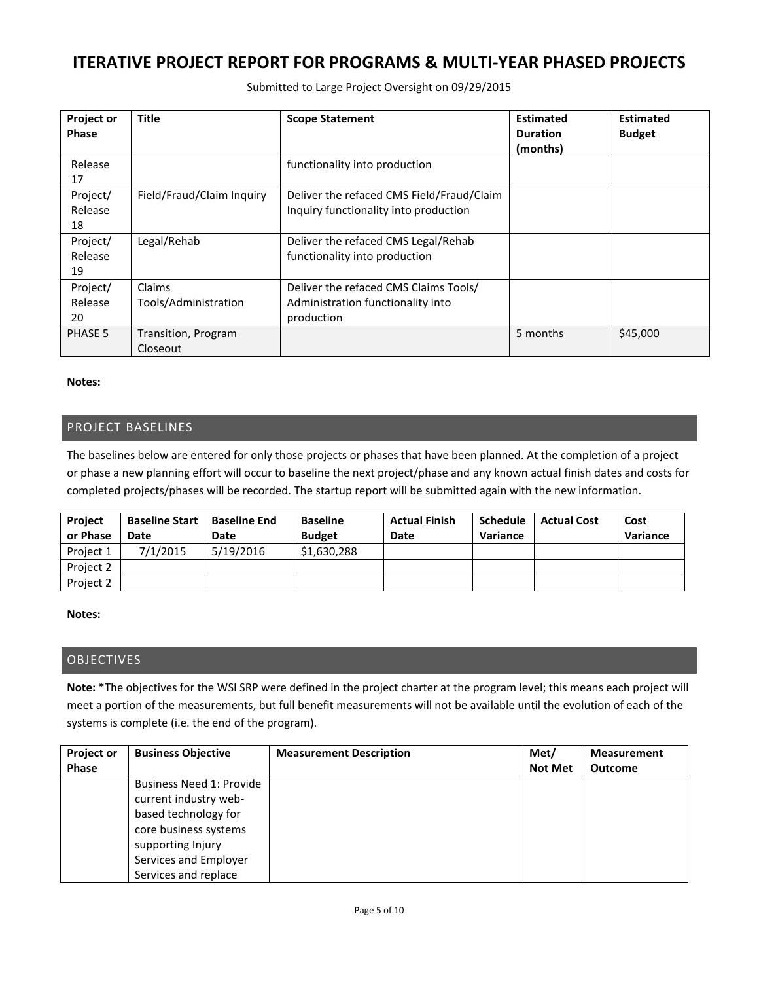| <b>Project or</b><br><b>Phase</b> | <b>Title</b>                    | <b>Scope Statement</b>                                                                   | <b>Estimated</b><br><b>Duration</b><br>(months) | <b>Estimated</b><br><b>Budget</b> |
|-----------------------------------|---------------------------------|------------------------------------------------------------------------------------------|-------------------------------------------------|-----------------------------------|
| Release<br>17                     |                                 | functionality into production                                                            |                                                 |                                   |
| Project/<br>Release<br>18         | Field/Fraud/Claim Inquiry       | Deliver the refaced CMS Field/Fraud/Claim<br>Inquiry functionality into production       |                                                 |                                   |
| Project/<br>Release<br>19         | Legal/Rehab                     | Deliver the refaced CMS Legal/Rehab<br>functionality into production                     |                                                 |                                   |
| Project/<br>Release<br>20         | Claims<br>Tools/Administration  | Deliver the refaced CMS Claims Tools/<br>Administration functionality into<br>production |                                                 |                                   |
| PHASE 5                           | Transition, Program<br>Closeout |                                                                                          | 5 months                                        | \$45,000                          |

Submitted to Large Project Oversight on 09/29/2015

#### **Notes:**

### PROJECT BASELINES

The baselines below are entered for only those projects or phases that have been planned. At the completion of a project or phase a new planning effort will occur to baseline the next project/phase and any known actual finish dates and costs for completed projects/phases will be recorded. The startup report will be submitted again with the new information.

| <b>Project</b><br>or Phase | <b>Baseline Start</b><br>Date | <b>Baseline End</b><br>Date | <b>Baseline</b><br><b>Budget</b> | <b>Actual Finish</b><br>Date | <b>Schedule</b><br>Variance | <b>Actual Cost</b> | Cost<br>Variance |
|----------------------------|-------------------------------|-----------------------------|----------------------------------|------------------------------|-----------------------------|--------------------|------------------|
| Project 1                  | 7/1/2015                      | 5/19/2016                   | \$1,630,288                      |                              |                             |                    |                  |
| Project 2                  |                               |                             |                                  |                              |                             |                    |                  |
| Project 2                  |                               |                             |                                  |                              |                             |                    |                  |

#### **Notes:**

#### **OBJECTIVES**

**Note:** \*The objectives for the WSI SRP were defined in the project charter at the program level; this means each project will meet a portion of the measurements, but full benefit measurements will not be available until the evolution of each of the systems is complete (i.e. the end of the program).

| <b>Project or</b> | <b>Business Objective</b> | <b>Measurement Description</b> | Met/           | <b>Measurement</b> |
|-------------------|---------------------------|--------------------------------|----------------|--------------------|
| Phase             |                           |                                | <b>Not Met</b> | <b>Outcome</b>     |
|                   | Business Need 1: Provide  |                                |                |                    |
|                   | current industry web-     |                                |                |                    |
|                   | based technology for      |                                |                |                    |
|                   | core business systems     |                                |                |                    |
|                   | supporting Injury         |                                |                |                    |
|                   | Services and Employer     |                                |                |                    |
|                   | Services and replace      |                                |                |                    |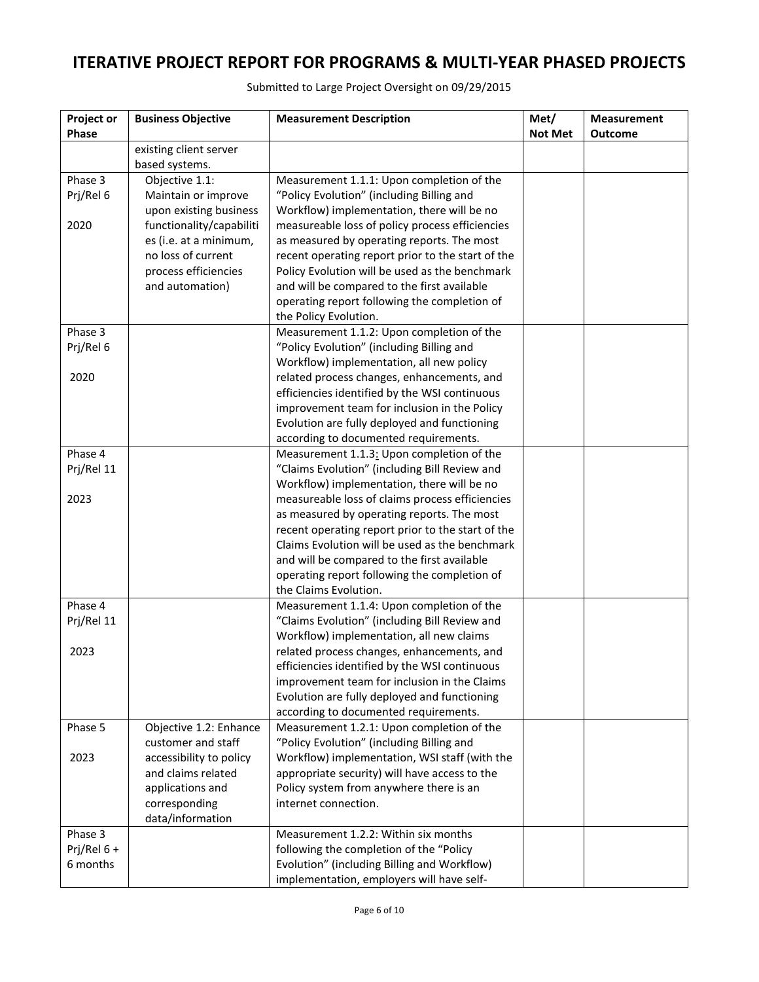| Project or                | <b>Business Objective</b> | <b>Measurement Description</b>                                                                | Met/           | <b>Measurement</b> |
|---------------------------|---------------------------|-----------------------------------------------------------------------------------------------|----------------|--------------------|
| Phase                     | existing client server    |                                                                                               | <b>Not Met</b> | <b>Outcome</b>     |
|                           | based systems.            |                                                                                               |                |                    |
| Phase 3                   | Objective 1.1:            | Measurement 1.1.1: Upon completion of the                                                     |                |                    |
| Prj/Rel 6                 | Maintain or improve       | "Policy Evolution" (including Billing and                                                     |                |                    |
|                           | upon existing business    | Workflow) implementation, there will be no                                                    |                |                    |
| 2020                      | functionality/capabiliti  | measureable loss of policy process efficiencies                                               |                |                    |
|                           | es (i.e. at a minimum,    | as measured by operating reports. The most                                                    |                |                    |
|                           | no loss of current        | recent operating report prior to the start of the                                             |                |                    |
|                           | process efficiencies      | Policy Evolution will be used as the benchmark                                                |                |                    |
|                           | and automation)           | and will be compared to the first available                                                   |                |                    |
|                           |                           | operating report following the completion of<br>the Policy Evolution.                         |                |                    |
| Phase 3                   |                           | Measurement 1.1.2: Upon completion of the                                                     |                |                    |
| Prj/Rel 6                 |                           | "Policy Evolution" (including Billing and                                                     |                |                    |
|                           |                           | Workflow) implementation, all new policy                                                      |                |                    |
| 2020                      |                           | related process changes, enhancements, and                                                    |                |                    |
|                           |                           | efficiencies identified by the WSI continuous                                                 |                |                    |
|                           |                           | improvement team for inclusion in the Policy                                                  |                |                    |
|                           |                           | Evolution are fully deployed and functioning                                                  |                |                    |
|                           |                           | according to documented requirements.                                                         |                |                    |
| Phase 4                   |                           | Measurement 1.1.3: Upon completion of the                                                     |                |                    |
| Prj/Rel 11                |                           | "Claims Evolution" (including Bill Review and                                                 |                |                    |
|                           |                           | Workflow) implementation, there will be no                                                    |                |                    |
| 2023                      |                           | measureable loss of claims process efficiencies<br>as measured by operating reports. The most |                |                    |
|                           |                           | recent operating report prior to the start of the                                             |                |                    |
|                           |                           | Claims Evolution will be used as the benchmark                                                |                |                    |
|                           |                           | and will be compared to the first available                                                   |                |                    |
|                           |                           | operating report following the completion of                                                  |                |                    |
|                           |                           | the Claims Evolution.                                                                         |                |                    |
| Phase 4                   |                           | Measurement 1.1.4: Upon completion of the                                                     |                |                    |
| Prj/Rel 11                |                           | "Claims Evolution" (including Bill Review and                                                 |                |                    |
|                           |                           | Workflow) implementation, all new claims                                                      |                |                    |
| 2023                      |                           | related process changes, enhancements, and                                                    |                |                    |
|                           |                           | efficiencies identified by the WSI continuous                                                 |                |                    |
|                           |                           | improvement team for inclusion in the Claims<br>Evolution are fully deployed and functioning  |                |                    |
|                           |                           | according to documented requirements.                                                         |                |                    |
| Phase 5                   | Objective 1.2: Enhance    | Measurement 1.2.1: Upon completion of the                                                     |                |                    |
|                           | customer and staff        | "Policy Evolution" (including Billing and                                                     |                |                    |
| 2023                      | accessibility to policy   | Workflow) implementation, WSI staff (with the                                                 |                |                    |
|                           | and claims related        | appropriate security) will have access to the                                                 |                |                    |
|                           | applications and          | Policy system from anywhere there is an                                                       |                |                    |
|                           | corresponding             | internet connection.                                                                          |                |                    |
|                           | data/information          |                                                                                               |                |                    |
| Phase 3                   |                           | Measurement 1.2.2: Within six months                                                          |                |                    |
| Prj/Rel $6 +$<br>6 months |                           | following the completion of the "Policy                                                       |                |                    |
|                           |                           | Evolution" (including Billing and Workflow)<br>implementation, employers will have self-      |                |                    |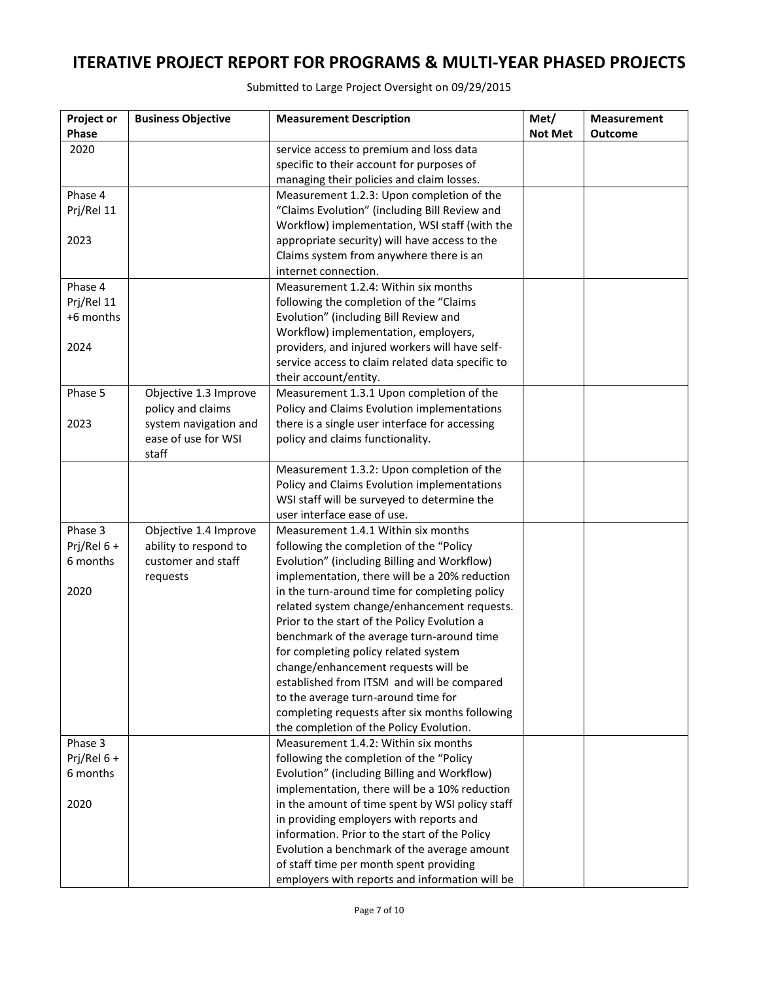Submitted to Large Project Oversight on 09/29/2015

| Project or<br>Phase | <b>Business Objective</b> | <b>Measurement Description</b>                                                             | Met/<br><b>Not Met</b> | <b>Measurement</b><br><b>Outcome</b> |
|---------------------|---------------------------|--------------------------------------------------------------------------------------------|------------------------|--------------------------------------|
| 2020                |                           | service access to premium and loss data                                                    |                        |                                      |
|                     |                           | specific to their account for purposes of                                                  |                        |                                      |
|                     |                           | managing their policies and claim losses.                                                  |                        |                                      |
| Phase 4             |                           | Measurement 1.2.3: Upon completion of the                                                  |                        |                                      |
| Prj/Rel 11          |                           | "Claims Evolution" (including Bill Review and                                              |                        |                                      |
|                     |                           | Workflow) implementation, WSI staff (with the                                              |                        |                                      |
| 2023                |                           | appropriate security) will have access to the                                              |                        |                                      |
|                     |                           | Claims system from anywhere there is an                                                    |                        |                                      |
|                     |                           | internet connection.                                                                       |                        |                                      |
| Phase 4             |                           | Measurement 1.2.4: Within six months                                                       |                        |                                      |
| Prj/Rel 11          |                           | following the completion of the "Claims                                                    |                        |                                      |
| +6 months           |                           | Evolution" (including Bill Review and                                                      |                        |                                      |
|                     |                           | Workflow) implementation, employers,                                                       |                        |                                      |
| 2024                |                           | providers, and injured workers will have self-                                             |                        |                                      |
|                     |                           | service access to claim related data specific to                                           |                        |                                      |
|                     |                           | their account/entity.                                                                      |                        |                                      |
| Phase 5             | Objective 1.3 Improve     | Measurement 1.3.1 Upon completion of the                                                   |                        |                                      |
|                     | policy and claims         | Policy and Claims Evolution implementations                                                |                        |                                      |
| 2023                | system navigation and     | there is a single user interface for accessing                                             |                        |                                      |
|                     | ease of use for WSI       | policy and claims functionality.                                                           |                        |                                      |
|                     | staff                     |                                                                                            |                        |                                      |
|                     |                           | Measurement 1.3.2: Upon completion of the                                                  |                        |                                      |
|                     |                           | Policy and Claims Evolution implementations                                                |                        |                                      |
|                     |                           | WSI staff will be surveyed to determine the<br>user interface ease of use.                 |                        |                                      |
| Phase 3             | Objective 1.4 Improve     | Measurement 1.4.1 Within six months                                                        |                        |                                      |
| Prj/Rel 6+          | ability to respond to     | following the completion of the "Policy                                                    |                        |                                      |
| 6 months            | customer and staff        | Evolution" (including Billing and Workflow)                                                |                        |                                      |
|                     | requests                  | implementation, there will be a 20% reduction                                              |                        |                                      |
| 2020                |                           | in the turn-around time for completing policy                                              |                        |                                      |
|                     |                           | related system change/enhancement requests.                                                |                        |                                      |
|                     |                           | Prior to the start of the Policy Evolution a                                               |                        |                                      |
|                     |                           | benchmark of the average turn-around time                                                  |                        |                                      |
|                     |                           | for completing policy related system                                                       |                        |                                      |
|                     |                           | change/enhancement requests will be                                                        |                        |                                      |
|                     |                           | established from ITSM and will be compared                                                 |                        |                                      |
|                     |                           | to the average turn-around time for                                                        |                        |                                      |
|                     |                           | completing requests after six months following                                             |                        |                                      |
|                     |                           | the completion of the Policy Evolution.                                                    |                        |                                      |
| Phase 3             |                           | Measurement 1.4.2: Within six months                                                       |                        |                                      |
| Prj/Rel $6 +$       |                           | following the completion of the "Policy                                                    |                        |                                      |
| 6 months            |                           | Evolution" (including Billing and Workflow)                                                |                        |                                      |
|                     |                           | implementation, there will be a 10% reduction                                              |                        |                                      |
| 2020                |                           | in the amount of time spent by WSI policy staff<br>in providing employers with reports and |                        |                                      |
|                     |                           | information. Prior to the start of the Policy                                              |                        |                                      |
|                     |                           | Evolution a benchmark of the average amount                                                |                        |                                      |
|                     |                           | of staff time per month spent providing                                                    |                        |                                      |
|                     |                           | employers with reports and information will be                                             |                        |                                      |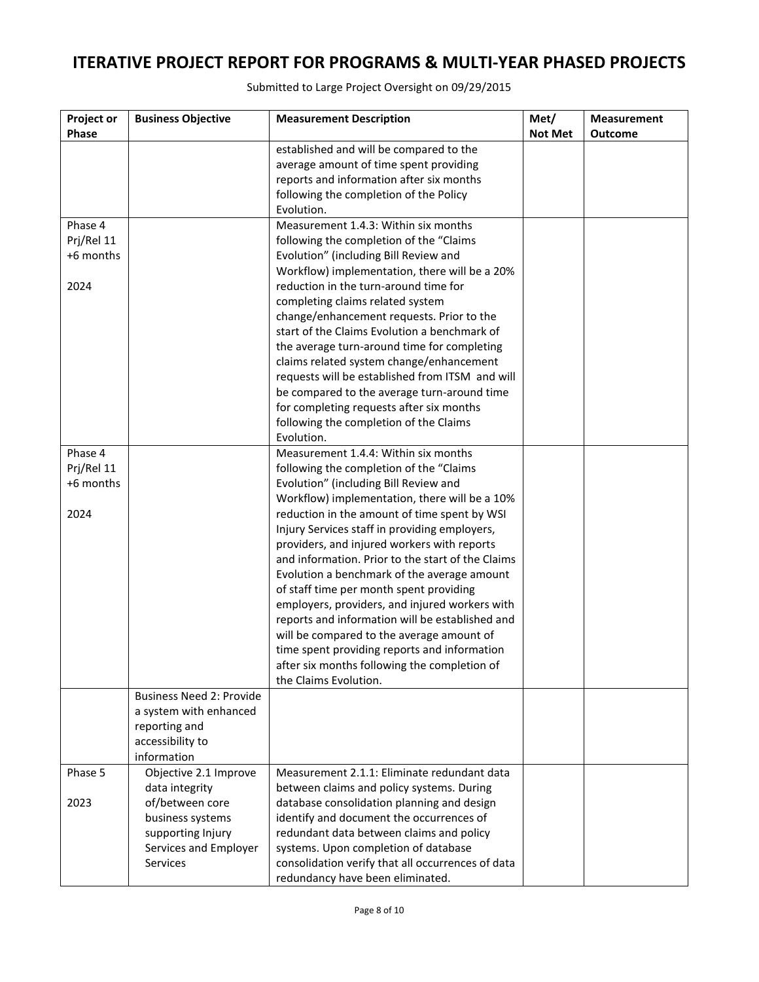| Project or | <b>Business Objective</b>       | <b>Measurement Description</b>                    | Met/           | <b>Measurement</b> |
|------------|---------------------------------|---------------------------------------------------|----------------|--------------------|
| Phase      |                                 |                                                   | <b>Not Met</b> | <b>Outcome</b>     |
|            |                                 | established and will be compared to the           |                |                    |
|            |                                 | average amount of time spent providing            |                |                    |
|            |                                 | reports and information after six months          |                |                    |
|            |                                 | following the completion of the Policy            |                |                    |
|            |                                 | Evolution.                                        |                |                    |
| Phase 4    |                                 | Measurement 1.4.3: Within six months              |                |                    |
| Prj/Rel 11 |                                 | following the completion of the "Claims           |                |                    |
| +6 months  |                                 | Evolution" (including Bill Review and             |                |                    |
|            |                                 | Workflow) implementation, there will be a 20%     |                |                    |
| 2024       |                                 | reduction in the turn-around time for             |                |                    |
|            |                                 | completing claims related system                  |                |                    |
|            |                                 | change/enhancement requests. Prior to the         |                |                    |
|            |                                 | start of the Claims Evolution a benchmark of      |                |                    |
|            |                                 | the average turn-around time for completing       |                |                    |
|            |                                 | claims related system change/enhancement          |                |                    |
|            |                                 | requests will be established from ITSM and will   |                |                    |
|            |                                 | be compared to the average turn-around time       |                |                    |
|            |                                 | for completing requests after six months          |                |                    |
|            |                                 | following the completion of the Claims            |                |                    |
|            |                                 | Evolution.                                        |                |                    |
| Phase 4    |                                 | Measurement 1.4.4: Within six months              |                |                    |
| Prj/Rel 11 |                                 | following the completion of the "Claims           |                |                    |
| +6 months  |                                 | Evolution" (including Bill Review and             |                |                    |
|            |                                 | Workflow) implementation, there will be a 10%     |                |                    |
| 2024       |                                 | reduction in the amount of time spent by WSI      |                |                    |
|            |                                 | Injury Services staff in providing employers,     |                |                    |
|            |                                 | providers, and injured workers with reports       |                |                    |
|            |                                 | and information. Prior to the start of the Claims |                |                    |
|            |                                 | Evolution a benchmark of the average amount       |                |                    |
|            |                                 | of staff time per month spent providing           |                |                    |
|            |                                 | employers, providers, and injured workers with    |                |                    |
|            |                                 | reports and information will be established and   |                |                    |
|            |                                 | will be compared to the average amount of         |                |                    |
|            |                                 | time spent providing reports and information      |                |                    |
|            |                                 | after six months following the completion of      |                |                    |
|            |                                 | the Claims Evolution.                             |                |                    |
|            | <b>Business Need 2: Provide</b> |                                                   |                |                    |
|            | a system with enhanced          |                                                   |                |                    |
|            | reporting and                   |                                                   |                |                    |
|            | accessibility to                |                                                   |                |                    |
|            | information                     |                                                   |                |                    |
| Phase 5    | Objective 2.1 Improve           | Measurement 2.1.1: Eliminate redundant data       |                |                    |
|            | data integrity                  | between claims and policy systems. During         |                |                    |
| 2023       | of/between core                 | database consolidation planning and design        |                |                    |
|            | business systems                | identify and document the occurrences of          |                |                    |
|            | supporting Injury               | redundant data between claims and policy          |                |                    |
|            | Services and Employer           | systems. Upon completion of database              |                |                    |
|            | Services                        | consolidation verify that all occurrences of data |                |                    |
|            |                                 | redundancy have been eliminated.                  |                |                    |

Submitted to Large Project Oversight on 09/29/2015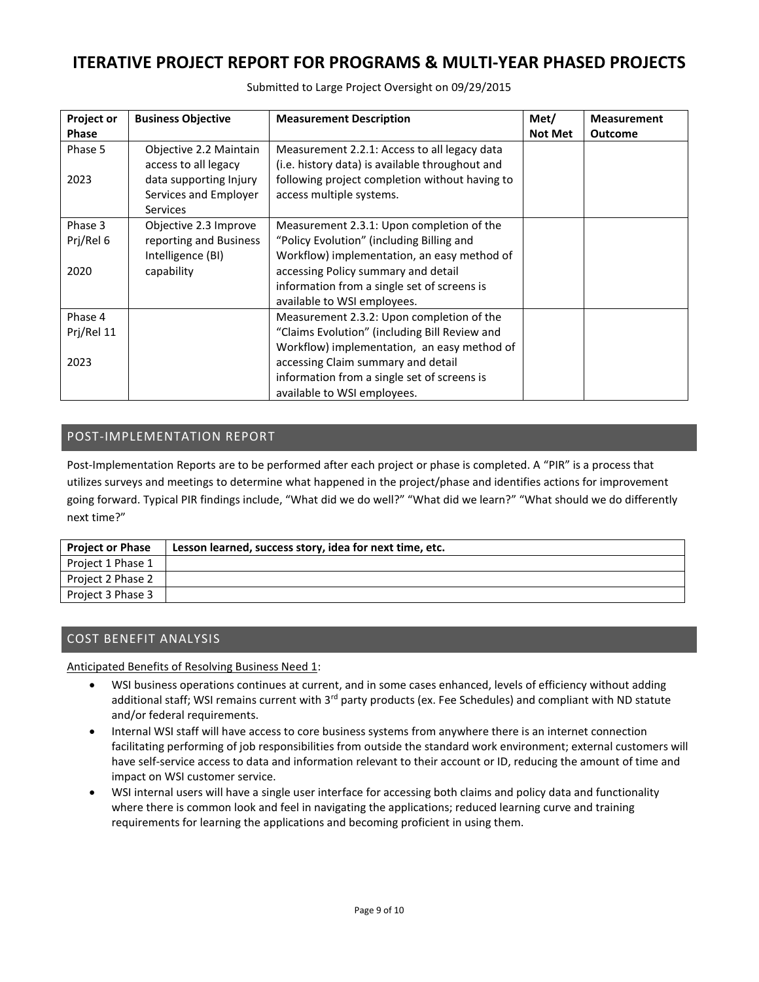| <b>Project or</b> | <b>Business Objective</b> | <b>Measurement Description</b>                  | Met/           | <b>Measurement</b> |
|-------------------|---------------------------|-------------------------------------------------|----------------|--------------------|
| <b>Phase</b>      |                           |                                                 | <b>Not Met</b> | <b>Outcome</b>     |
| Phase 5           | Objective 2.2 Maintain    | Measurement 2.2.1: Access to all legacy data    |                |                    |
|                   | access to all legacy      | (i.e. history data) is available throughout and |                |                    |
| 2023              | data supporting Injury    | following project completion without having to  |                |                    |
|                   | Services and Employer     | access multiple systems.                        |                |                    |
|                   | <b>Services</b>           |                                                 |                |                    |
| Phase 3           | Objective 2.3 Improve     | Measurement 2.3.1: Upon completion of the       |                |                    |
| Prj/Rel 6         | reporting and Business    | "Policy Evolution" (including Billing and       |                |                    |
|                   | Intelligence (BI)         | Workflow) implementation, an easy method of     |                |                    |
| 2020              | capability                | accessing Policy summary and detail             |                |                    |
|                   |                           | information from a single set of screens is     |                |                    |
|                   |                           | available to WSI employees.                     |                |                    |
| Phase 4           |                           | Measurement 2.3.2: Upon completion of the       |                |                    |
| Prj/Rel 11        |                           | "Claims Evolution" (including Bill Review and   |                |                    |
|                   |                           | Workflow) implementation, an easy method of     |                |                    |
| 2023              |                           | accessing Claim summary and detail              |                |                    |
|                   |                           | information from a single set of screens is     |                |                    |
|                   |                           | available to WSI employees.                     |                |                    |

Submitted to Large Project Oversight on 09/29/2015

### POST-IMPLEMENTATION REPORT

Post-Implementation Reports are to be performed after each project or phase is completed. A "PIR" is a process that utilizes surveys and meetings to determine what happened in the project/phase and identifies actions for improvement going forward. Typical PIR findings include, "What did we do well?" "What did we learn?" "What should we do differently next time?"

| <b>Project or Phase</b> | Lesson learned, success story, idea for next time, etc. |
|-------------------------|---------------------------------------------------------|
| Project 1 Phase 1       |                                                         |
| Project 2 Phase 2       |                                                         |
| Project 3 Phase 3       |                                                         |

## COST BENEFIT ANALYSIS

Anticipated Benefits of Resolving Business Need 1:

- WSI business operations continues at current, and in some cases enhanced, levels of efficiency without adding additional staff; WSI remains current with 3<sup>rd</sup> party products (ex. Fee Schedules) and compliant with ND statute and/or federal requirements.
- Internal WSI staff will have access to core business systems from anywhere there is an internet connection facilitating performing of job responsibilities from outside the standard work environment; external customers will have self-service access to data and information relevant to their account or ID, reducing the amount of time and impact on WSI customer service.
- WSI internal users will have a single user interface for accessing both claims and policy data and functionality where there is common look and feel in navigating the applications; reduced learning curve and training requirements for learning the applications and becoming proficient in using them.